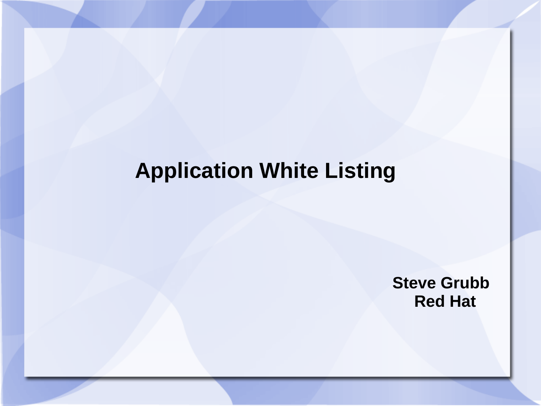#### **Application White Listing**

**Steve Grubb Red Hat**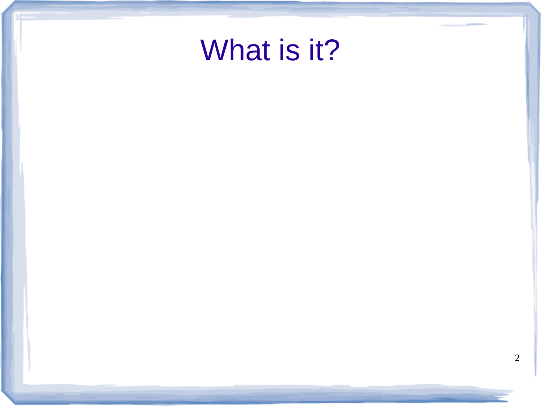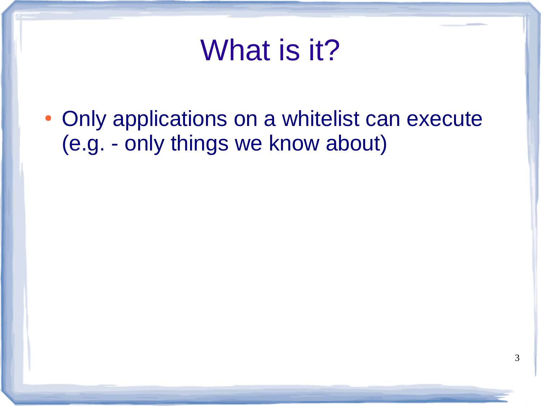## What is it?

• Only applications on a whitelist can execute (e.g. - only things we know about)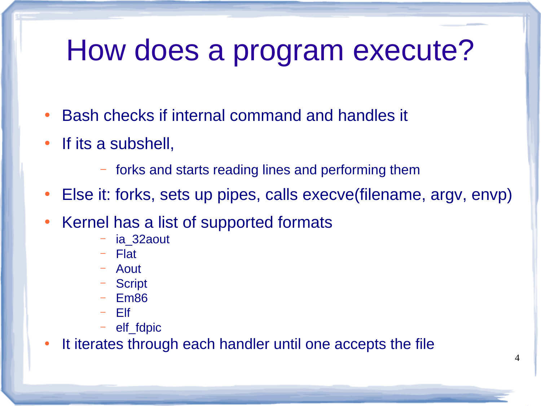## How does a program execute?

- Bash checks if internal command and handles it
- If its a subshell,
	- forks and starts reading lines and performing them
- Else it: forks, sets up pipes, calls execve(filename, argv, envp)
- Kernel has a list of supported formats
	- ia\_32aout
	- Flat
	- Aout
	- Script
	- Em86
	- Elf
	- elf\_fdpic

• It iterates through each handler until one accepts the file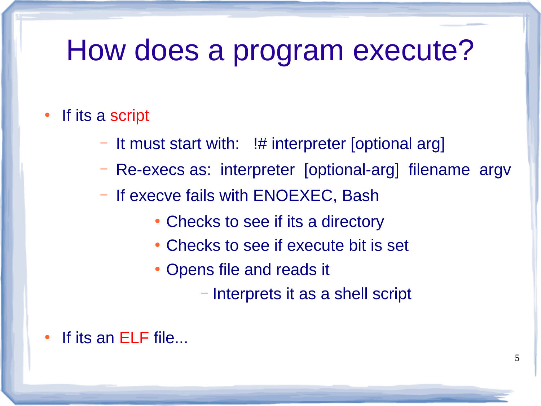#### How does a program execute?

#### If its a script

- It must start with: !# interpreter [optional arg]
- Re-execs as: interpreter [optional-arg] filename argv
- If execve fails with ENOEXEC, Bash
	- Checks to see if its a directory
	- Checks to see if execute bit is set
	- Opens file and reads it
		- Interprets it as a shell script

If its an ELF file...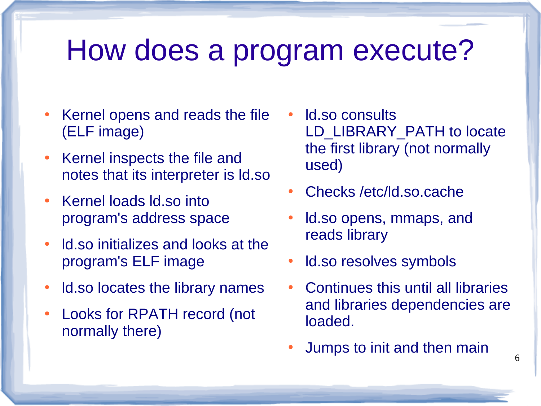#### How does a program execute?

- Kernel opens and reads the file (ELF image)
- Kernel inspects the file and notes that its interpreter is ld.so
- Kernel loads ld.so into program's address space
- Id.so initializes and looks at the program's ELF image
- Id.so locates the library names
- Looks for RPATH record (not normally there)
- ld.so consults LD\_LIBRARY\_PATH to locate the first library (not normally used)
- Checks /etc/ld.so.cache
- Id.so opens, mmaps, and reads library
- Id.so resolves symbols
- Continues this until all libraries and libraries dependencies are loaded.

6

Jumps to init and then main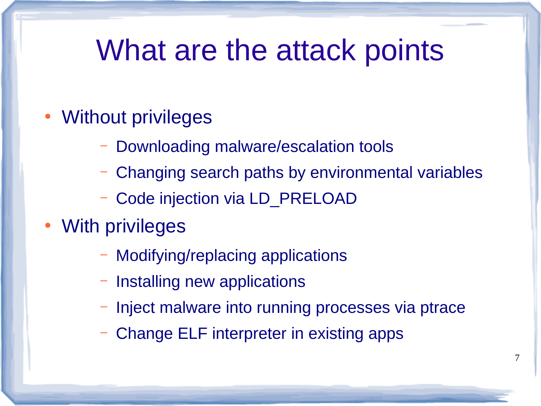### What are the attack points

- Without privileges
	- Downloading malware/escalation tools
	- Changing search paths by environmental variables
	- Code injection via LD\_PRELOAD
- **With privileges** 
	- Modifying/replacing applications
	- Installing new applications
	- Inject malware into running processes via ptrace
	- Change ELF interpreter in existing apps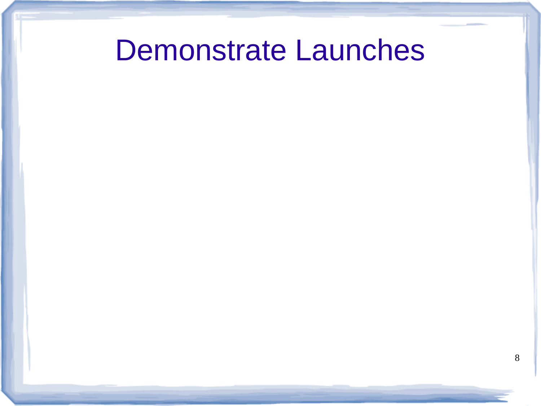#### Demonstrate Launches

8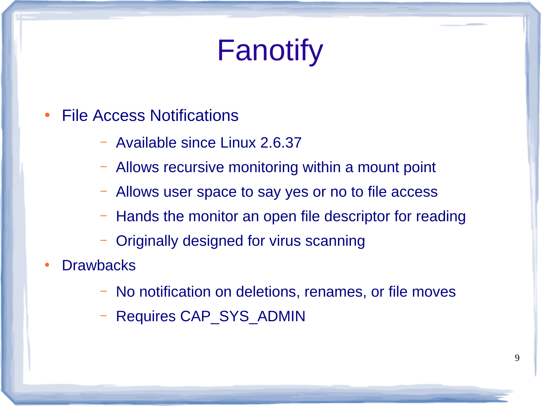# Fanotify

- **File Access Notifications** 
	- Available since Linux 2.6.37
	- Allows recursive monitoring within a mount point
	- Allows user space to say yes or no to file access
	- Hands the monitor an open file descriptor for reading
	- Originally designed for virus scanning
- **Drawbacks** 
	- No notification on deletions, renames, or file moves
	- Requires CAP\_SYS\_ADMIN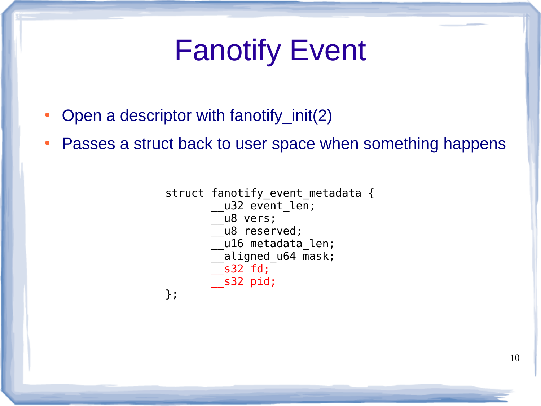# Fanotify Event

- Open a descriptor with fanotify\_init(2)
- Passes a struct back to user space when something happens

```
struct fanotify event metadata {
           u32 event len;
            __u8 vers;
            __u8 reserved;
           __u16 metadata_len;
         \overline{\phantom{a}}aligned u64 mask;
          __s32 fd;
         __s32 pid;
};
```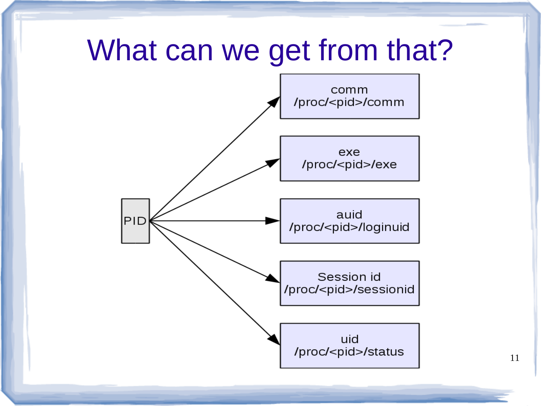#### What can we get from that?



11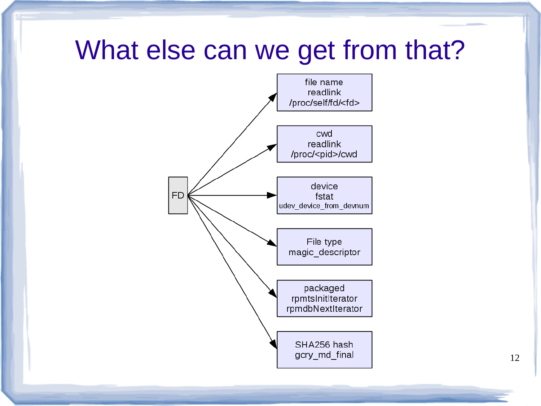#### What else can we get from that?

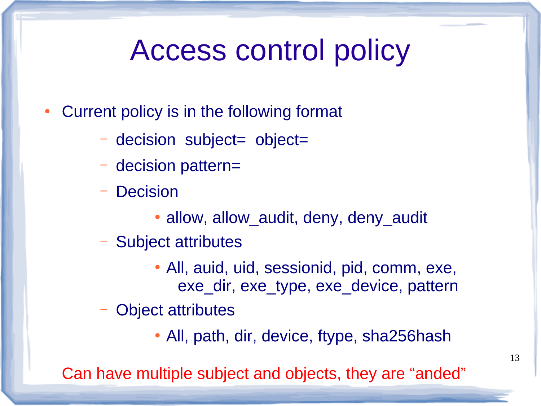## Access control policy

- Current policy is in the following format
	- decision subject= object=
	- decision pattern=
	- Decision
		- allow, allow audit, deny, deny audit
	- Subject attributes
		- All, auid, uid, sessionid, pid, comm, exe, exe\_dir, exe\_type, exe\_device, pattern
	- Object attributes
		- All, path, dir, device, ftype, sha256hash

Can have multiple subject and objects, they are "anded"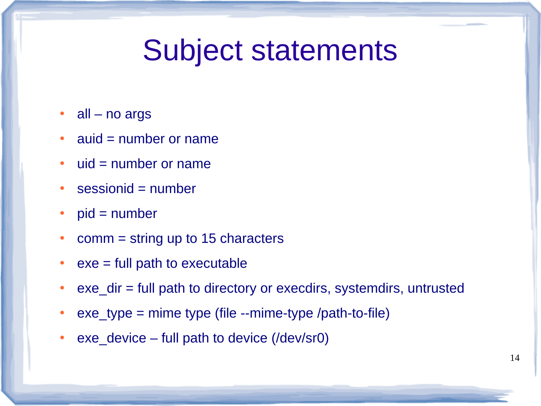### Subject statements

- $\cdot$  all no args
- $\bullet$  auid = number or name
- $\cdot$  uid = number or name
- $\cdot$  sessionid = number
- $\bullet$  pid = number
- comm  $=$  string up to 15 characters
- $\bullet$  exe = full path to executable
- exe\_dir = full path to directory or execdirs, systemdirs, untrusted
- $\bullet$  exe\_type = mime type (file --mime-type /path-to-file)
- exe device full path to device (/dev/sr0)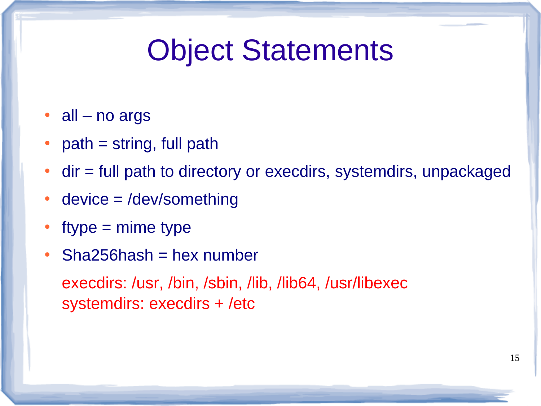## Object Statements

- $\cdot$  all no args
- $path = string, full path$
- $\bullet$  dir = full path to directory or execdirs, systemdirs, unpackaged
- device  $=$  /dev/something
- $style$  = mime type
- $\cdot$  Sha256hash = hex number

execdirs: /usr, /bin, /sbin, /lib, /lib64, /usr/libexec systemdirs: execdirs + /etc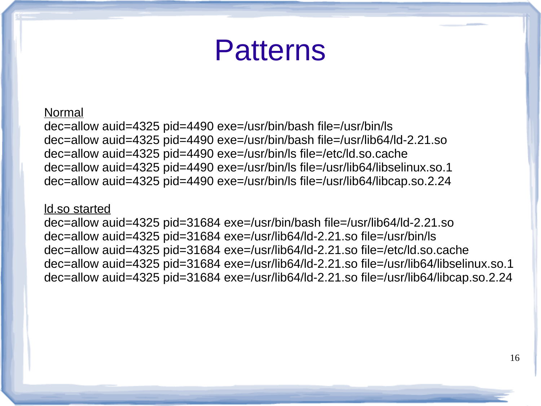#### Patterns

#### Normal

dec=allow auid=4325 pid=4490 exe=/usr/bin/bash file=/usr/bin/ls dec=allow auid=4325 pid=4490 exe=/usr/bin/bash file=/usr/lib64/ld-2.21.so dec=allow auid=4325 pid=4490 exe=/usr/bin/ls file=/etc/ld.so.cache dec=allow auid=4325 pid=4490 exe=/usr/bin/ls file=/usr/lib64/libselinux.so.1 dec=allow auid=4325 pid=4490 exe=/usr/bin/ls file=/usr/lib64/libcap.so.2.24

#### ld.so started

dec=allow auid=4325 pid=31684 exe=/usr/bin/bash file=/usr/lib64/ld-2.21.so dec=allow auid=4325 pid=31684 exe=/usr/lib64/ld-2.21.so file=/usr/bin/ls dec=allow auid=4325 pid=31684 exe=/usr/lib64/ld-2.21.so file=/etc/ld.so.cache dec=allow auid=4325 pid=31684 exe=/usr/lib64/ld-2.21.so file=/usr/lib64/libselinux.so.1 dec=allow auid=4325 pid=31684 exe=/usr/lib64/ld-2.21.so file=/usr/lib64/libcap.so.2.24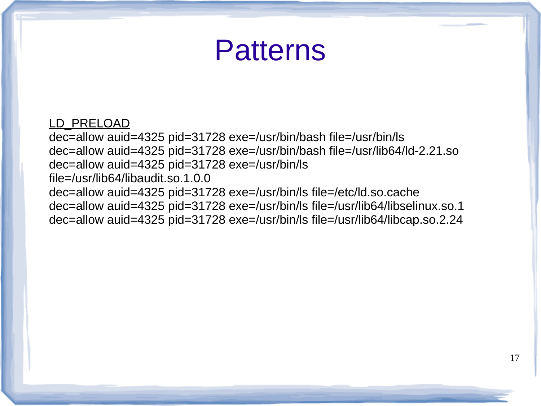#### Patterns

LD PRELOAD dec=allow auid=4325 pid=31728 exe=/usr/bin/bash file=/usr/bin/ls dec=allow auid=4325 pid=31728 exe=/usr/bin/bash file=/usr/lib64/ld-2.21.so dec=allow auid=4325 pid=31728 exe=/usr/bin/ls file=/usr/lib64/libaudit.so.1.0.0 dec=allow auid=4325 pid=31728 exe=/usr/bin/ls file=/etc/ld.so.cache dec=allow auid=4325 pid=31728 exe=/usr/bin/ls file=/usr/lib64/libselinux.so.1 dec=allow auid=4325 pid=31728 exe=/usr/bin/ls file=/usr/lib64/libcap.so.2.24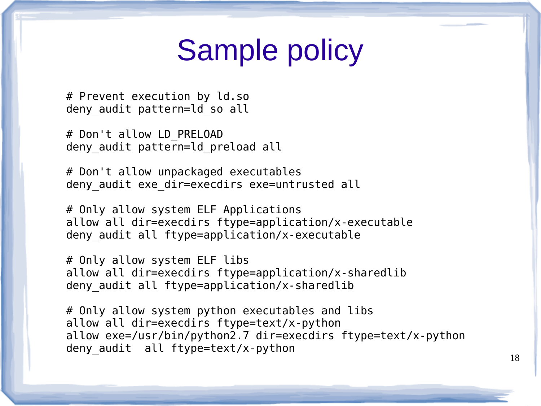## Sample policy

# Prevent execution by ld.so deny audit pattern=ld so all

# Don't allow LD\_PRELOAD deny audit pattern=ld preload all

# Don't allow unpackaged executables deny audit exe dir=execdirs exe=untrusted all

# Only allow system ELF Applications allow all dir=execdirs ftype=application/x-executable deny audit all ftype=application/x-executable

# Only allow system ELF libs allow all dir=execdirs ftype=application/x-sharedlib deny audit all ftype=application/x-sharedlib

# Only allow system python executables and libs allow all dir=execdirs ftype=text/x-python allow exe=/usr/bin/python2.7 dir=execdirs ftype=text/x-python deny audit all ftype=text/x-python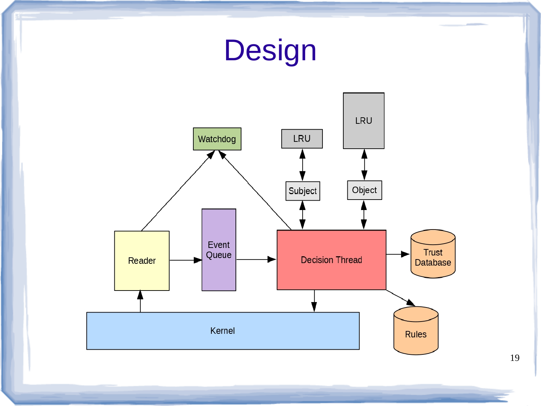

19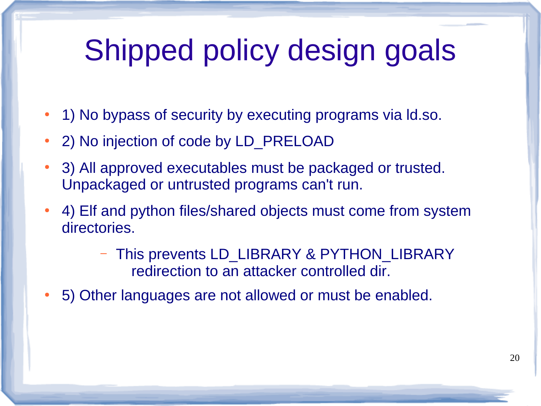# Shipped policy design goals

- 1) No bypass of security by executing programs via Id.so.
- 2) No injection of code by LD\_PRELOAD
- 3) All approved executables must be packaged or trusted. Unpackaged or untrusted programs can't run.
- 4) Elf and python files/shared objects must come from system directories.
	- This prevents LD\_LIBRARY & PYTHON\_LIBRARY redirection to an attacker controlled dir.
- 5) Other languages are not allowed or must be enabled.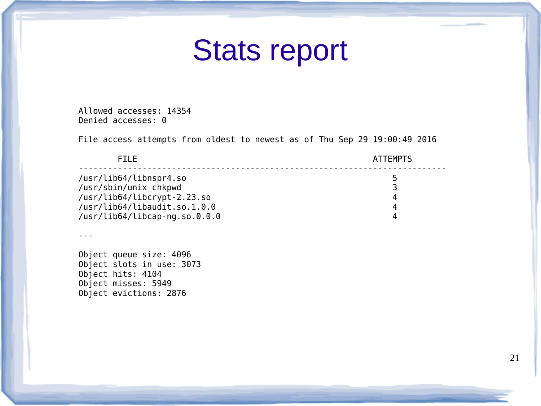#### Stats report

Allowed accesses: 14354 Denied accesses: 0

File access attempts from oldest to newest as of Thu Sep 29 19:00:49 2016

| <b>FTIF</b>                   | <b>ATTEMPTS</b> |
|-------------------------------|-----------------|
| /usr/lib64/libnspr4.so        | 5               |
| /usr/sbin/unix chkpwd         |                 |
| /usr/lib64/libcrypt-2.23.so   |                 |
| /usr/lib64/libaudit.so.1.0.0  |                 |
| /usr/lib64/libcap-ng.so.0.0.0 | Δ               |

---

Object queue size: 4096 Object slots in use: 3073 Object hits: 4104 Object misses: 5949 Object evictions: 2876

21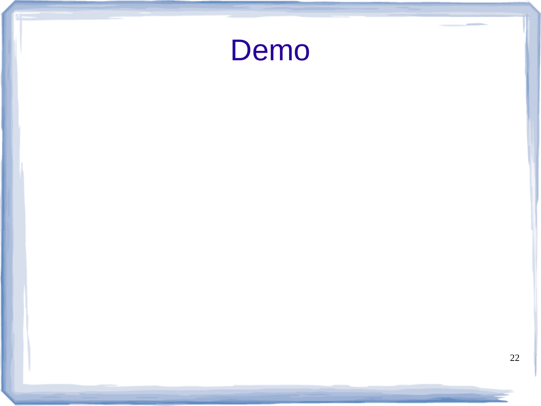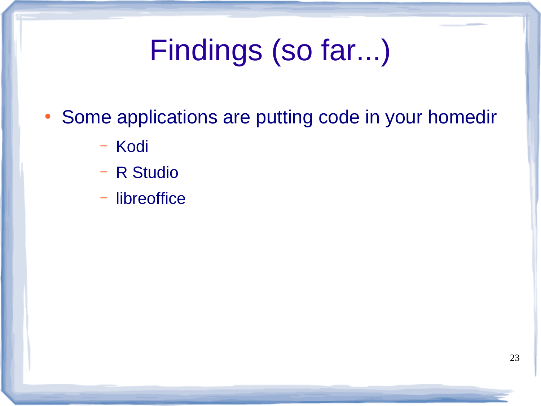# Findings (so far...)

- Some applications are putting code in your homedir
	- Kodi
	- R Studio
	- libreoffice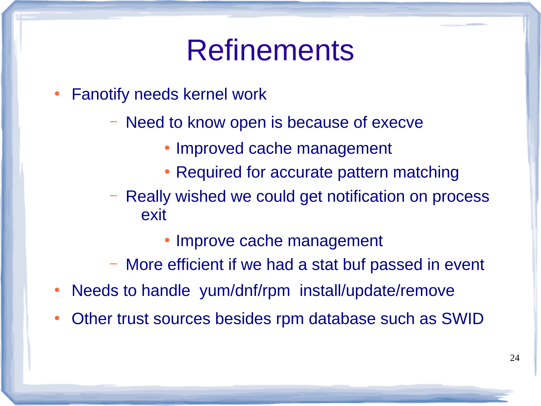### Refinements

- Fanotify needs kernel work
	- Need to know open is because of execve
		- Improved cache management
		- Required for accurate pattern matching
	- Really wished we could get notification on process exit
		- Improve cache management
	- More efficient if we had a stat buf passed in event
- Needs to handle yum/dnf/rpm install/update/remove
- Other trust sources besides rpm database such as SWID